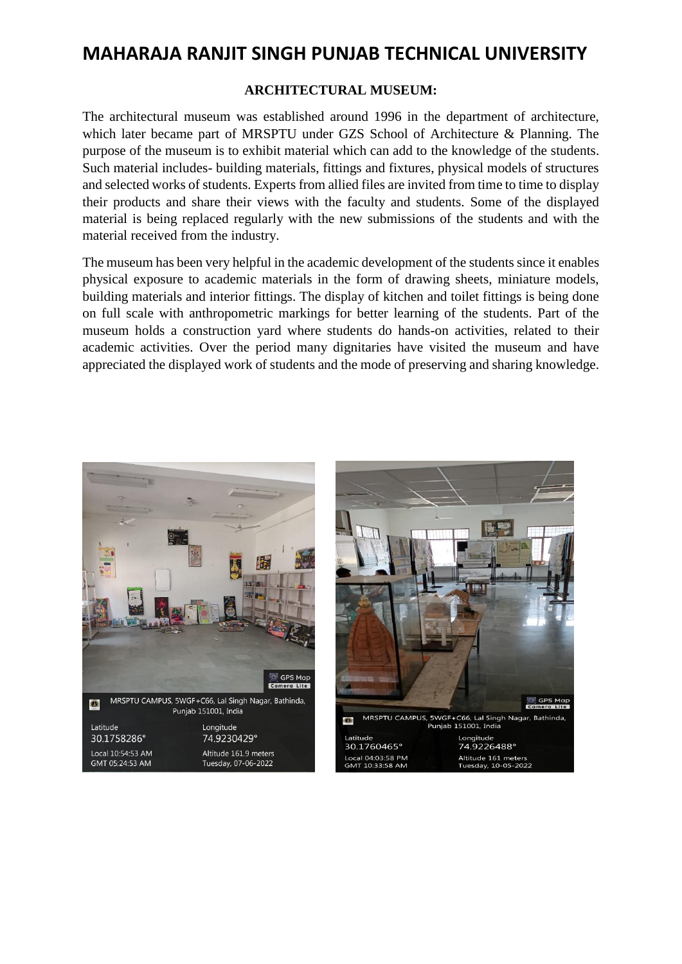## **MAHARAJA RANJIT SINGH PUNJAB TECHNICAL UNIVERSITY**

## **ARCHITECTURAL MUSEUM:**

The architectural museum was established around 1996 in the department of architecture, which later became part of MRSPTU under GZS School of Architecture & Planning. The purpose of the museum is to exhibit material which can add to the knowledge of the students. Such material includes- building materials, fittings and fixtures, physical models of structures and selected works of students. Experts from allied files are invited from time to time to display their products and share their views with the faculty and students. Some of the displayed material is being replaced regularly with the new submissions of the students and with the material received from the industry.

The museum has been very helpful in the academic development of the students since it enables physical exposure to academic materials in the form of drawing sheets, miniature models, building materials and interior fittings. The display of kitchen and toilet fittings is being done on full scale with anthropometric markings for better learning of the students. Part of the museum holds a construction yard where students do hands-on activities, related to their academic activities. Over the period many dignitaries have visited the museum and have appreciated the displayed work of students and the mode of preserving and sharing knowledge.